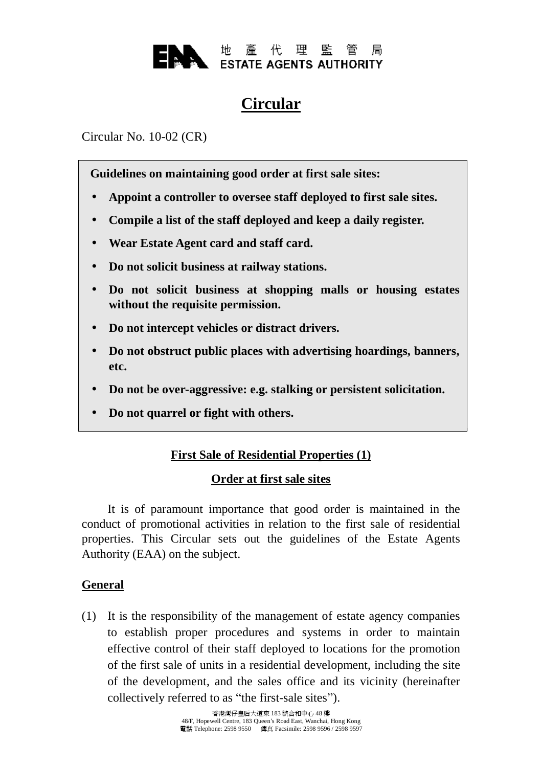

## **Circular**

Circular No. 10-02 (CR)

**Guidelines on maintaining good order at first sale sites:** 

- **Appoint a controller to oversee staff deployed to first sale sites.**
- **Compile a list of the staff deployed and keep a daily register.**
- **Wear Estate Agent card and staff card.**
- **Do not solicit business at railway stations.**
- **Do not solicit business at shopping malls or housing estates without the requisite permission.**
- **Do not intercept vehicles or distract drivers.**
- **Do not obstruct public places with advertising hoardings, banners, etc.**
- **Do not be over-aggressive: e.g. stalking or persistent solicitation.**
- **Do not quarrel or fight with others.**

### **First Sale of Residential Properties (1)**

#### **Order at first sale sites**

It is of paramount importance that good order is maintained in the conduct of promotional activities in relation to the first sale of residential properties. This Circular sets out the guidelines of the Estate Agents Authority (EAA) on the subject.

#### **General**

(1) It is the responsibility of the management of estate agency companies to establish proper procedures and systems in order to maintain effective control of their staff deployed to locations for the promotion of the first sale of units in a residential development, including the site of the development, and the sales office and its vicinity (hereinafter collectively referred to as "the first-sale sites").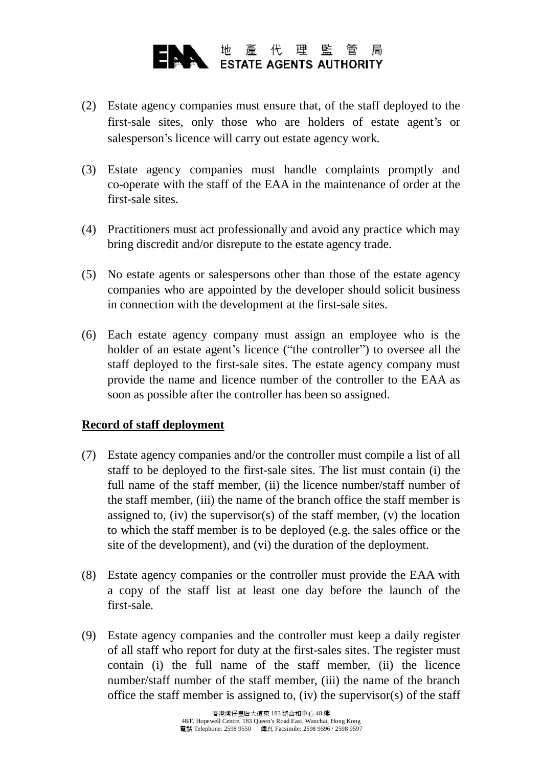

- (2) Estate agency companies must ensure that, of the staff deployed to the first-sale sites, only those who are holders of estate agent's or salesperson's licence will carry out estate agency work.
- (3) Estate agency companies must handle complaints promptly and co-operate with the staff of the EAA in the maintenance of order at the first-sale sites.
- (4) Practitioners must act professionally and avoid any practice which may bring discredit and/or disrepute to the estate agency trade.
- (5) No estate agents or salespersons other than those of the estate agency companies who are appointed by the developer should solicit business in connection with the development at the first-sale sites.
- (6) Each estate agency company must assign an employee who is the holder of an estate agent's licence ("the controller") to oversee all the staff deployed to the first-sale sites. The estate agency company must provide the name and licence number of the controller to the EAA as soon as possible after the controller has been so assigned.

#### **Record of staff deployment**

- (7) Estate agency companies and/or the controller must compile a list of all staff to be deployed to the first-sale sites. The list must contain (i) the full name of the staff member, (ii) the licence number/staff number of the staff member, (iii) the name of the branch office the staff member is assigned to, (iv) the supervisor(s) of the staff member, (v) the location to which the staff member is to be deployed (e.g. the sales office or the site of the development), and (vi) the duration of the deployment.
- (8) Estate agency companies or the controller must provide the EAA with a copy of the staff list at least one day before the launch of the first-sale.
- (9) Estate agency companies and the controller must keep a daily register of all staff who report for duty at the first-sales sites. The register must contain (i) the full name of the staff member, (ii) the licence number/staff number of the staff member, (iii) the name of the branch office the staff member is assigned to, (iv) the supervisor(s) of the staff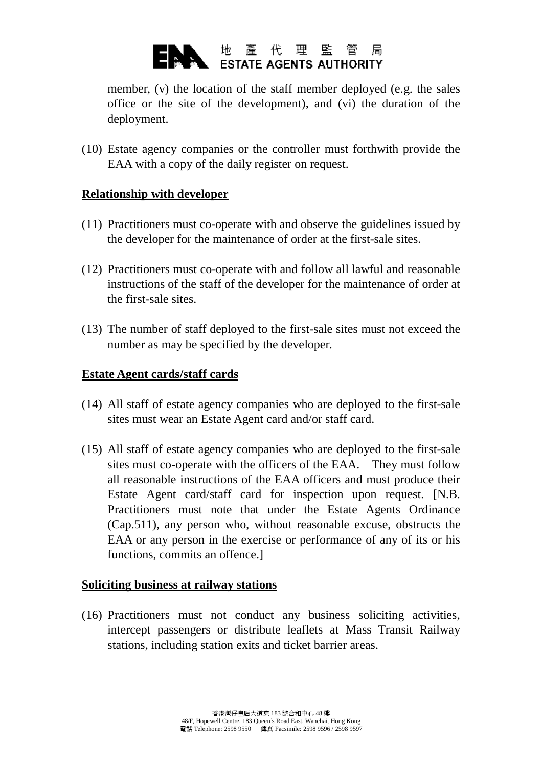

member, (v) the location of the staff member deployed (e.g. the sales office or the site of the development), and (vi) the duration of the deployment.

(10) Estate agency companies or the controller must forthwith provide the EAA with a copy of the daily register on request.

#### **Relationship with developer**

- (11) Practitioners must co-operate with and observe the guidelines issued by the developer for the maintenance of order at the first-sale sites.
- (12) Practitioners must co-operate with and follow all lawful and reasonable instructions of the staff of the developer for the maintenance of order at the first-sale sites.
- (13) The number of staff deployed to the first-sale sites must not exceed the number as may be specified by the developer.

#### **Estate Agent cards/staff cards**

- (14) All staff of estate agency companies who are deployed to the first-sale sites must wear an Estate Agent card and/or staff card.
- (15) All staff of estate agency companies who are deployed to the first-sale sites must co-operate with the officers of the EAA. They must follow all reasonable instructions of the EAA officers and must produce their Estate Agent card/staff card for inspection upon request. [N.B. Practitioners must note that under the Estate Agents Ordinance (Cap.511), any person who, without reasonable excuse, obstructs the EAA or any person in the exercise or performance of any of its or his functions, commits an offence.]

#### **Soliciting business at railway stations**

(16) Practitioners must not conduct any business soliciting activities, intercept passengers or distribute leaflets at Mass Transit Railway stations, including station exits and ticket barrier areas.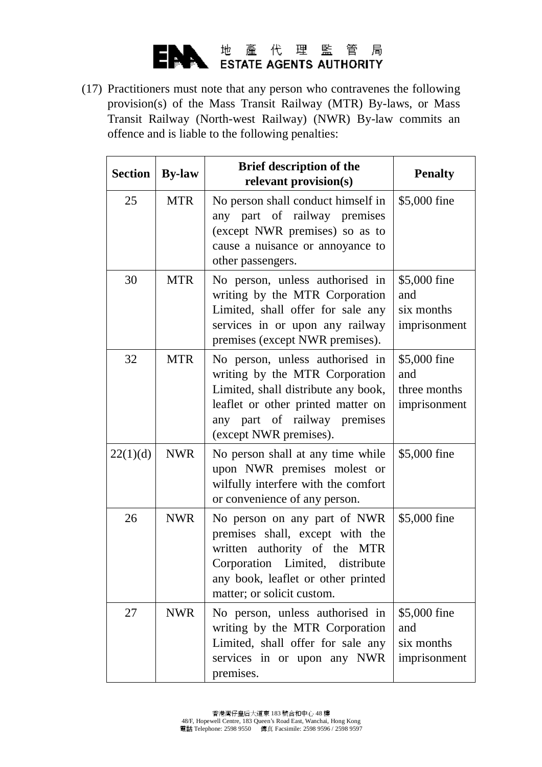

(17) Practitioners must note that any person who contravenes the following provision(s) of the Mass Transit Railway (MTR) By-laws, or Mass Transit Railway (North-west Railway) (NWR) By-law commits an offence and is liable to the following penalties:

| <b>Section</b> | <b>By-law</b> | <b>Brief description of the</b><br>relevant provision(s)                                                                                                                                                 | <b>Penalty</b>                                      |
|----------------|---------------|----------------------------------------------------------------------------------------------------------------------------------------------------------------------------------------------------------|-----------------------------------------------------|
| 25             | <b>MTR</b>    | No person shall conduct himself in<br>any part of railway premises<br>(except NWR premises) so as to<br>cause a nuisance or annoyance to<br>other passengers.                                            | \$5,000 fine                                        |
| 30             | <b>MTR</b>    | No person, unless authorised in<br>writing by the MTR Corporation<br>Limited, shall offer for sale any<br>services in or upon any railway<br>premises (except NWR premises).                             | \$5,000 fine<br>and<br>six months<br>imprisonment   |
| 32             | <b>MTR</b>    | No person, unless authorised in<br>writing by the MTR Corporation<br>Limited, shall distribute any book,<br>leaflet or other printed matter on<br>any part of railway premises<br>(except NWR premises). | \$5,000 fine<br>and<br>three months<br>imprisonment |
| 22(1)(d)       | <b>NWR</b>    | No person shall at any time while<br>upon NWR premises molest or<br>wilfully interfere with the comfort<br>or convenience of any person.                                                                 | \$5,000 fine                                        |
| 26             | <b>NWR</b>    | No person on any part of NWR<br>premises shall, except with the<br>written authority of the MTR<br>Corporation Limited, distribute<br>any book, leaflet or other printed<br>matter; or solicit custom.   | \$5,000 fine                                        |
| 27             | <b>NWR</b>    | No person, unless authorised in<br>writing by the MTR Corporation<br>Limited, shall offer for sale any<br>services in or upon any NWR<br>premises.                                                       | \$5,000 fine<br>and<br>six months<br>imprisonment   |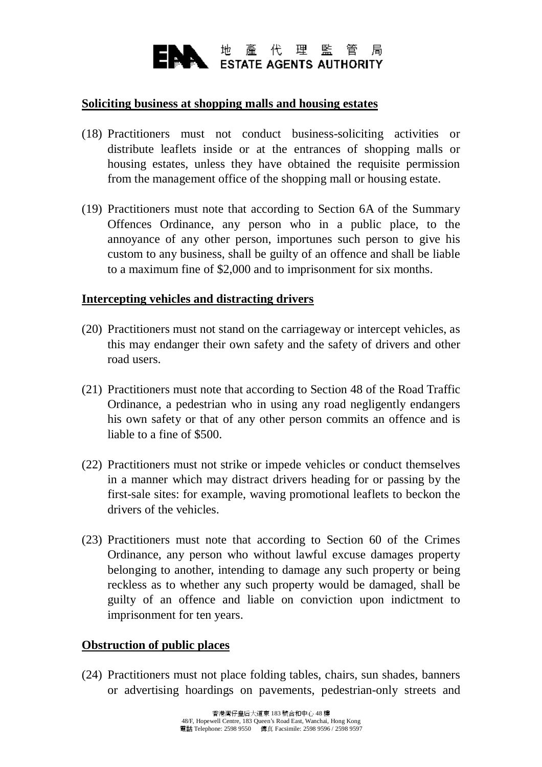

#### **Soliciting business at shopping malls and housing estates**

- (18) Practitioners must not conduct business-soliciting activities or distribute leaflets inside or at the entrances of shopping malls or housing estates, unless they have obtained the requisite permission from the management office of the shopping mall or housing estate.
- (19) Practitioners must note that according to Section 6A of the Summary Offences Ordinance, any person who in a public place, to the annoyance of any other person, importunes such person to give his custom to any business, shall be guilty of an offence and shall be liable to a maximum fine of \$2,000 and to imprisonment for six months.

#### **Intercepting vehicles and distracting drivers**

- (20) Practitioners must not stand on the carriageway or intercept vehicles, as this may endanger their own safety and the safety of drivers and other road users.
- (21) Practitioners must note that according to Section 48 of the Road Traffic Ordinance, a pedestrian who in using any road negligently endangers his own safety or that of any other person commits an offence and is liable to a fine of \$500.
- (22) Practitioners must not strike or impede vehicles or conduct themselves in a manner which may distract drivers heading for or passing by the first-sale sites: for example, waving promotional leaflets to beckon the drivers of the vehicles.
- (23) Practitioners must note that according to Section 60 of the Crimes Ordinance, any person who without lawful excuse damages property belonging to another, intending to damage any such property or being reckless as to whether any such property would be damaged, shall be guilty of an offence and liable on conviction upon indictment to imprisonment for ten years.

#### **Obstruction of public places**

(24) Practitioners must not place folding tables, chairs, sun shades, banners or advertising hoardings on pavements, pedestrian-only streets and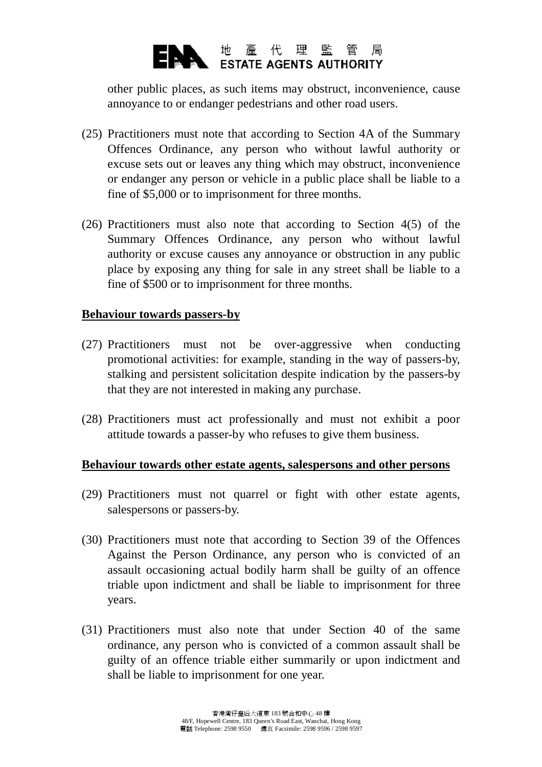#### 代 理 管 局 **ESTATE AGENTS AUTHORITY**

other public places, as such items may obstruct, inconvenience, cause annoyance to or endanger pedestrians and other road users.

- (25) Practitioners must note that according to Section 4A of the Summary Offences Ordinance, any person who without lawful authority or excuse sets out or leaves any thing which may obstruct, inconvenience or endanger any person or vehicle in a public place shall be liable to a fine of \$5,000 or to imprisonment for three months.
- (26) Practitioners must also note that according to Section 4(5) of the Summary Offences Ordinance, any person who without lawful authority or excuse causes any annoyance or obstruction in any public place by exposing any thing for sale in any street shall be liable to a fine of \$500 or to imprisonment for three months.

#### **Behaviour towards passers-by**

- (27) Practitioners must not be over-aggressive when conducting promotional activities: for example, standing in the way of passers-by, stalking and persistent solicitation despite indication by the passers-by that they are not interested in making any purchase.
- (28) Practitioners must act professionally and must not exhibit a poor attitude towards a passer-by who refuses to give them business.

#### **Behaviour towards other estate agents, salespersons and other persons**

- (29) Practitioners must not quarrel or fight with other estate agents, salespersons or passers-by.
- (30) Practitioners must note that according to Section 39 of the Offences Against the Person Ordinance, any person who is convicted of an assault occasioning actual bodily harm shall be guilty of an offence triable upon indictment and shall be liable to imprisonment for three years.
- (31) Practitioners must also note that under Section 40 of the same ordinance, any person who is convicted of a common assault shall be guilty of an offence triable either summarily or upon indictment and shall be liable to imprisonment for one year.